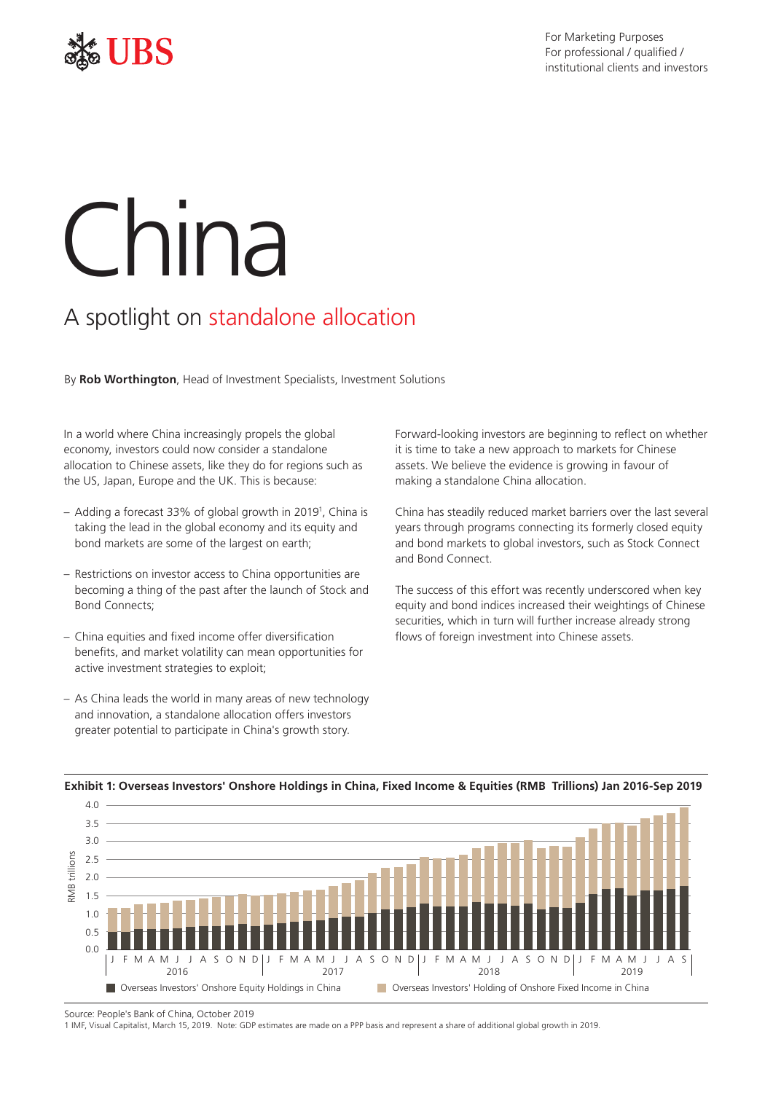

# China

# A spotlight on standalone allocation

By **Rob Worthington**, Head of Investment Specialists, Investment Solutions

In a world where China increasingly propels the global economy, investors could now consider a standalone allocation to Chinese assets, like they do for regions such as the US, Japan, Europe and the UK. This is because:

- Adding a forecast 33% of global growth in 20191 , China is taking the lead in the global economy and its equity and bond markets are some of the largest on earth;
- Restrictions on investor access to China opportunities are becoming a thing of the past after the launch of Stock and Bond Connects;
- China equities and fixed income offer diversification benefits, and market volatility can mean opportunities for active investment strategies to exploit;
- As China leads the world in many areas of new technology and innovation, a standalone allocation offers investors greater potential to participate in China's growth story.

Forward-looking investors are beginning to reflect on whether it is time to take a new approach to markets for Chinese assets. We believe the evidence is growing in favour of making a standalone China allocation.

China has steadily reduced market barriers over the last several years through programs connecting its formerly closed equity and bond markets to global investors, such as Stock Connect and Bond Connect.

The success of this effort was recently underscored when key equity and bond indices increased their weightings of Chinese securities, which in turn will further increase already strong flows of foreign investment into Chinese assets.



### **Exhibit 1: Overseas Investors' Onshore Holdings in China, Fixed Income & Equities (RMB Trillions) Jan 2016-Sep 2019**

Source: People's Bank of China, October 2019

1 IMF, Visual Capitalist, March 15, 2019. Note: GDP estimates are made on a PPP basis and represent a share of additional global growth in 2019.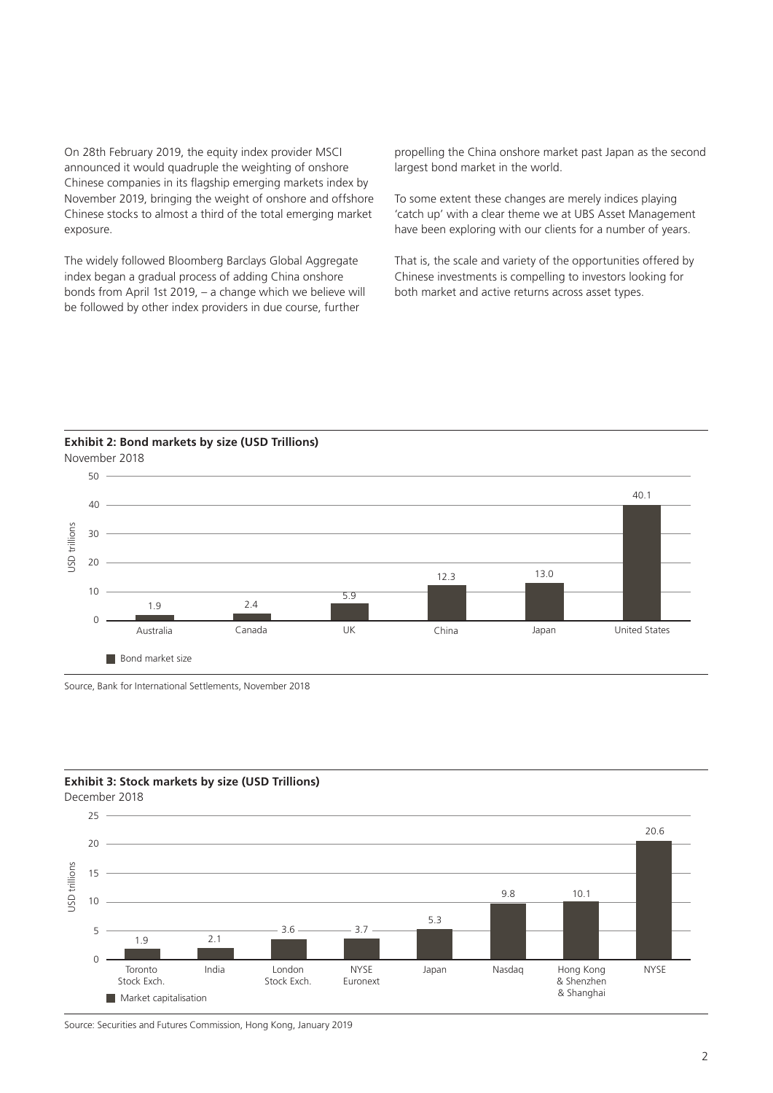On 28th February 2019, the equity index provider MSCI announced it would quadruple the weighting of onshore Chinese companies in its flagship emerging markets index by November 2019, bringing the weight of onshore and offshore Chinese stocks to almost a third of the total emerging market exposure.

The widely followed Bloomberg Barclays Global Aggregate index began a gradual process of adding China onshore bonds from April 1st 2019, – a change which we believe will be followed by other index providers in due course, further

propelling the China onshore market past Japan as the second largest bond market in the world.

To some extent these changes are merely indices playing 'catch up' with a clear theme we at UBS Asset Management have been exploring with our clients for a number of years.

That is, the scale and variety of the opportunities offered by Chinese investments is compelling to investors looking for both market and active returns across asset types.

**Exhibit 2: Bond markets by size (USD Trillions)** November 2018



Source, Bank for International Settlements, November 2018

## **Exhibit 3: Stock markets by size (USD Trillions)**

December 2018



Source: Securities and Futures Commission, Hong Kong, January 2019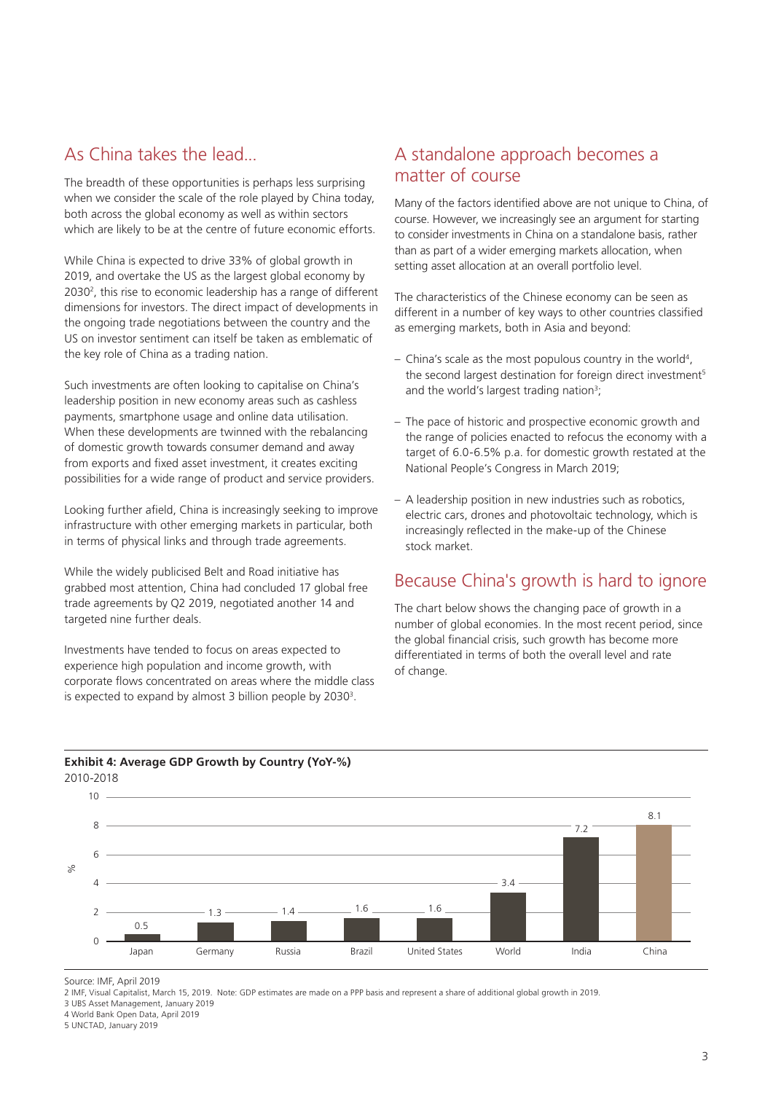# As China takes the lead...

The breadth of these opportunities is perhaps less surprising when we consider the scale of the role played by China today, both across the global economy as well as within sectors which are likely to be at the centre of future economic efforts.

While China is expected to drive 33% of global growth in 2019, and overtake the US as the largest global economy by 20302 , this rise to economic leadership has a range of different dimensions for investors. The direct impact of developments in the ongoing trade negotiations between the country and the US on investor sentiment can itself be taken as emblematic of the key role of China as a trading nation.

Such investments are often looking to capitalise on China's leadership position in new economy areas such as cashless payments, smartphone usage and online data utilisation. When these developments are twinned with the rebalancing of domestic growth towards consumer demand and away from exports and fixed asset investment, it creates exciting possibilities for a wide range of product and service providers.

Looking further afield, China is increasingly seeking to improve infrastructure with other emerging markets in particular, both in terms of physical links and through trade agreements.

While the widely publicised Belt and Road initiative has grabbed most attention, China had concluded 17 global free trade agreements by Q2 2019, negotiated another 14 and targeted nine further deals.

Investments have tended to focus on areas expected to experience high population and income growth, with corporate flows concentrated on areas where the middle class is expected to expand by almost 3 billion people by 2030 $^3$ .

# A standalone approach becomes a matter of course

Many of the factors identified above are not unique to China, of course. However, we increasingly see an argument for starting to consider investments in China on a standalone basis, rather than as part of a wider emerging markets allocation, when setting asset allocation at an overall portfolio level.

The characteristics of the Chinese economy can be seen as different in a number of key ways to other countries classified as emerging markets, both in Asia and beyond:

- $-$  China's scale as the most populous country in the world<sup>4</sup>, the second largest destination for foreign direct investment<sup>5</sup> and the world's largest trading nation<sup>3</sup>;
- The pace of historic and prospective economic growth and the range of policies enacted to refocus the economy with a target of 6.0-6.5% p.a. for domestic growth restated at the National People's Congress in March 2019;
- A leadership position in new industries such as robotics, electric cars, drones and photovoltaic technology, which is increasingly reflected in the make-up of the Chinese stock market.

# Because China's growth is hard to ignore

The chart below shows the changing pace of growth in a number of global economies. In the most recent period, since the global financial crisis, such growth has become more differentiated in terms of both the overall level and rate of change.



### **Exhibit 4: Average GDP Growth by Country (YoY-%)** 2010-2018

Source: IMF, April 2019

2 IMF, Visual Capitalist, March 15, 2019. Note: GDP estimates are made on a PPP basis and represent a share of additional global growth in 2019.

3 UBS Asset Management, January 2019

4 World Bank Open Data, April 2019

5 UNCTAD, January 2019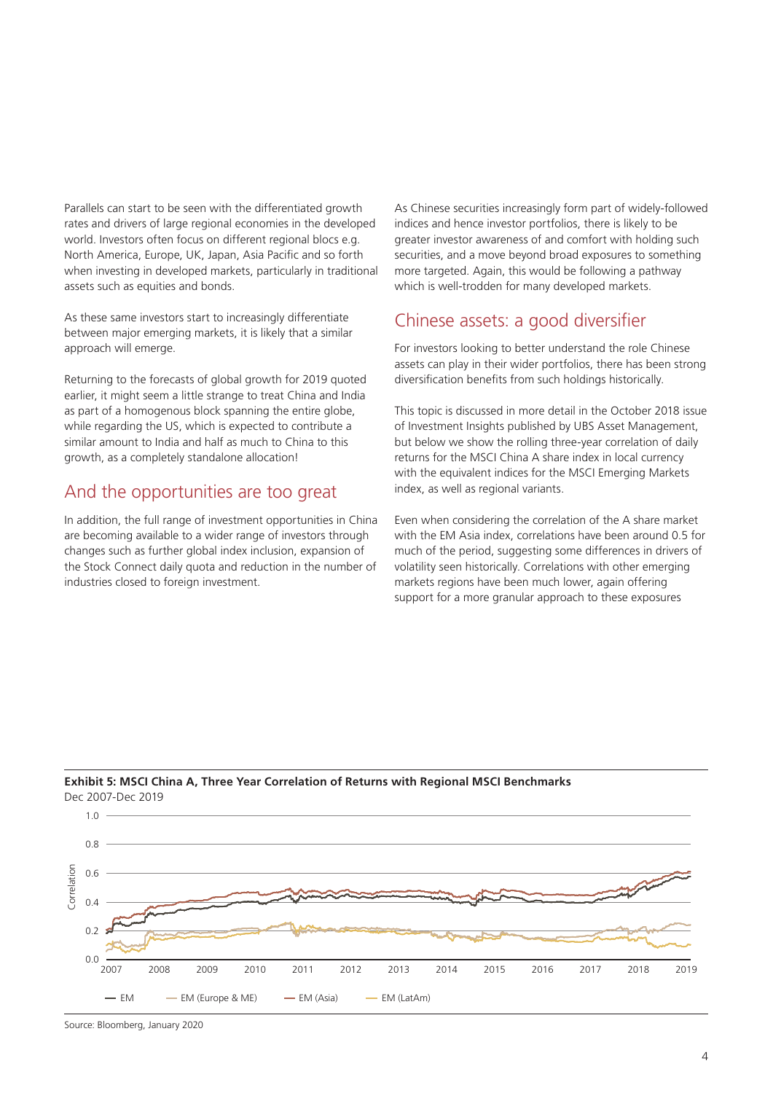Parallels can start to be seen with the differentiated growth rates and drivers of large regional economies in the developed world. Investors often focus on different regional blocs e.g. North America, Europe, UK, Japan, Asia Pacific and so forth when investing in developed markets, particularly in traditional assets such as equities and bonds.

As these same investors start to increasingly differentiate between major emerging markets, it is likely that a similar approach will emerge.

Returning to the forecasts of global growth for 2019 quoted earlier, it might seem a little strange to treat China and India as part of a homogenous block spanning the entire globe, while regarding the US, which is expected to contribute a similar amount to India and half as much to China to this growth, as a completely standalone allocation!

# And the opportunities are too great

In addition, the full range of investment opportunities in China are becoming available to a wider range of investors through changes such as further global index inclusion, expansion of the Stock Connect daily quota and reduction in the number of industries closed to foreign investment.

As Chinese securities increasingly form part of widely-followed indices and hence investor portfolios, there is likely to be greater investor awareness of and comfort with holding such securities, and a move beyond broad exposures to something more targeted. Again, this would be following a pathway which is well-trodden for many developed markets.

# Chinese assets: a good diversifier

For investors looking to better understand the role Chinese assets can play in their wider portfolios, there has been strong diversification benefits from such holdings historically.

This topic is discussed in more detail in the October 2018 issue of Investment Insights published by UBS Asset Management, but below we show the rolling three-year correlation of daily returns for the MSCI China A share index in local currency with the equivalent indices for the MSCI Emerging Markets index, as well as regional variants.

Even when considering the correlation of the A share market with the FM Asia index, correlations have been around 0.5 for much of the period, suggesting some differences in drivers of volatility seen historically. Correlations with other emerging markets regions have been much lower, again offering support for a more granular approach to these exposures



### **Exhibit 5: MSCI China A, Three Year Correlation of Returns with Regional MSCI Benchmarks** Dec 2007-Dec 2019

Source: Bloomberg, January 2020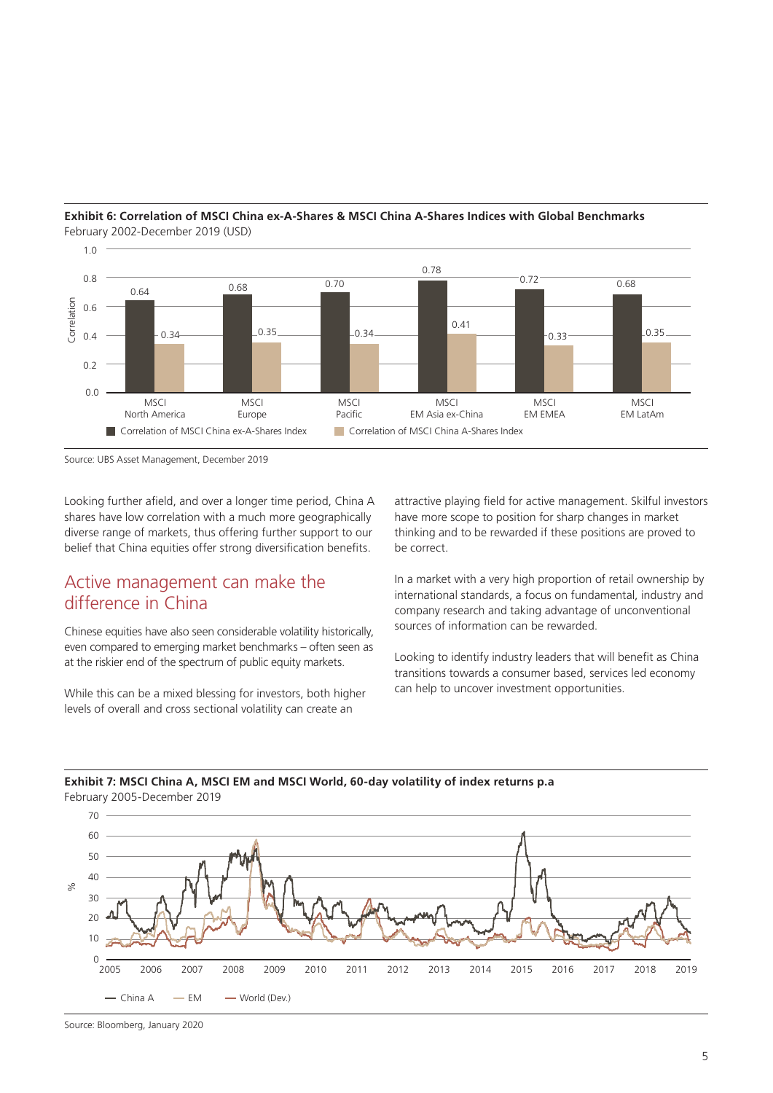

### **Exhibit 6: Correlation of MSCI China ex-A-Shares & MSCI China A-Shares Indices with Global Benchmarks** February 2002-December 2019 (USD)

Source: UBS Asset Management, December 2019

Looking further afield, and over a longer time period, China A shares have low correlation with a much more geographically diverse range of markets, thus offering further support to our belief that China equities offer strong diversification benefits.

# Active management can make the difference in China

Chinese equities have also seen considerable volatility historically, even compared to emerging market benchmarks – often seen as at the riskier end of the spectrum of public equity markets.

While this can be a mixed blessing for investors, both higher levels of overall and cross sectional volatility can create an

attractive playing field for active management. Skilful investors have more scope to position for sharp changes in market thinking and to be rewarded if these positions are proved to be correct.

In a market with a very high proportion of retail ownership by international standards, a focus on fundamental, industry and company research and taking advantage of unconventional sources of information can be rewarded.

Looking to identify industry leaders that will benefit as China transitions towards a consumer based, services led economy can help to uncover investment opportunities.

### **Exhibit 7: MSCI China A, MSCI EM and MSCI World, 60-day volatility of index returns p.a** February 2005-December 2019



Source: Bloomberg, January 2020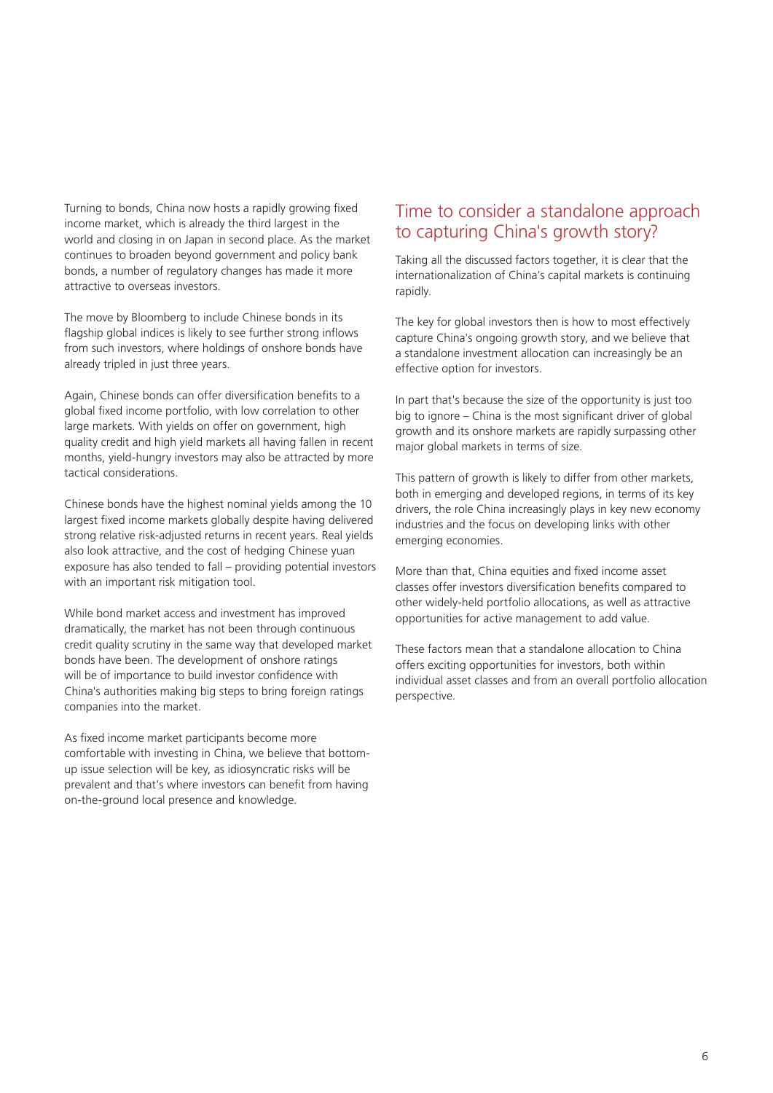Turning to bonds, China now hosts a rapidly growing fixed income market, which is already the third largest in the world and closing in on Japan in second place. As the market continues to broaden beyond government and policy bank bonds, a number of regulatory changes has made it more attractive to overseas investors.

The move by Bloomberg to include Chinese bonds in its flagship global indices is likely to see further strong inflows from such investors, where holdings of onshore bonds have already tripled in just three years.

Again, Chinese bonds can offer diversification benefits to a global fixed income portfolio, with low correlation to other large markets. With yields on offer on government, high quality credit and high yield markets all having fallen in recent months, yield-hungry investors may also be attracted by more tactical considerations.

Chinese bonds have the highest nominal yields among the 10 largest fixed income markets globally despite having delivered strong relative risk-adjusted returns in recent years. Real yields also look attractive, and the cost of hedging Chinese yuan exposure has also tended to fall – providing potential investors with an important risk mitigation tool.

While bond market access and investment has improved dramatically, the market has not been through continuous credit quality scrutiny in the same way that developed market bonds have been. The development of onshore ratings will be of importance to build investor confidence with China's authorities making big steps to bring foreign ratings companies into the market.

As fixed income market participants become more comfortable with investing in China, we believe that bottomup issue selection will be key, as idiosyncratic risks will be prevalent and that's where investors can benefit from having on-the-ground local presence and knowledge.

# Time to consider a standalone approach to capturing China's growth story?

Taking all the discussed factors together, it is clear that the internationalization of China's capital markets is continuing rapidly.

The key for global investors then is how to most effectively capture China's ongoing growth story, and we believe that a standalone investment allocation can increasingly be an effective option for investors.

In part that's because the size of the opportunity is just too big to ignore – China is the most significant driver of global growth and its onshore markets are rapidly surpassing other major global markets in terms of size.

This pattern of growth is likely to differ from other markets, both in emerging and developed regions, in terms of its key drivers, the role China increasingly plays in key new economy industries and the focus on developing links with other emerging economies.

More than that, China equities and fixed income asset classes offer investors diversification benefits compared to other widely-held portfolio allocations, as well as attractive opportunities for active management to add value.

These factors mean that a standalone allocation to China offers exciting opportunities for investors, both within individual asset classes and from an overall portfolio allocation perspective.